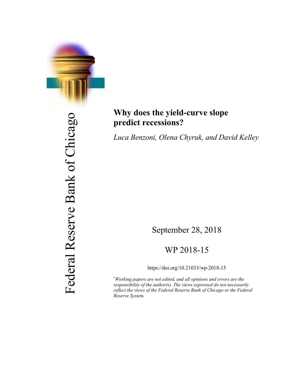

# Federal Reserve Bank of Chicago Federal Reserve Bank of Chicago

# **Why does the yield-curve slope predict recessions?**

*Luca Benzoni, Olena Chyruk, and David Kelley*

# September 28, 2018

# WP 2018-15

https://doi.org/10.21033/wp-2018-15

\* *Working papers are not edited, and all opinions and errors are the responsibility of the author(s). The views expressed do not necessarily reflect the views of the Federal Reserve Bank of Chicago or the Federal Reserve System.*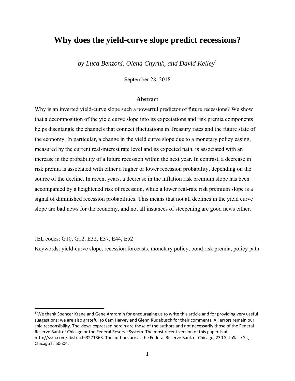# **Why does the yield-curve slope predict recessions?**

*by Luca Benzoni, Olena Chyruk, and David Kelley*<sup>1</sup>

September 28, 2018

### **Abstract**

Why is an inverted yield-curve slope such a powerful predictor of future recessions? We show that a decomposition of the yield curve slope into its expectations and risk premia components helps disentangle the channels that connect fluctuations in Treasury rates and the future state of the economy. In particular, a change in the yield curve slope due to a monetary policy easing, measured by the current real-interest rate level and its expected path, is associated with an increase in the probability of a future recession within the next year. In contrast, a decrease in risk premia is associated with either a higher or lower recession probability, depending on the source of the decline. In recent years, a decrease in the inflation risk premium slope has been accompanied by a heightened risk of recession, while a lower real-rate risk premium slope is a signal of diminished recession probabilities. This means that not all declines in the yield curve slope are bad news for the economy, and not all instances of steepening are good news either.

JEL codes: G10, G12, E32, E37, E44, E52

Keywords: yield-curve slope, recession forecasts, monetary policy, bond risk premia, policy path

<sup>&</sup>lt;sup>1</sup> We thank Spencer Krane and Gene Amromin for encouraging us to write this article and for providing very useful suggestions; we are also grateful to Cam Harvey and Glenn Rudebusch for their comments. All errors remain our sole responsibility. The views expressed herein are those of the authors and not necessarily those of the Federal Reserve Bank of Chicago or the Federal Reserve System. The most recent version of this paper is at http://ssrn.com/abstract=3271363. The authors are at the Federal Reserve Bank of Chicago, 230 S. LaSalle St., Chicago IL 60604.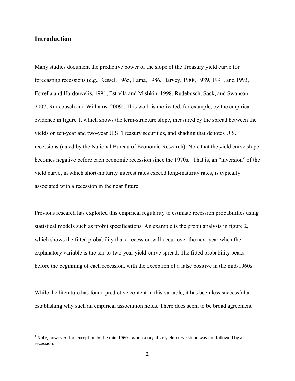# **Introduction**

Many studies document the predictive power of the slope of the Treasury yield curve for forecasting recessions (e.g., Kessel, 1965, Fama, 1986, Harvey, 1988, 1989, 1991, and 1993, Estrella and Hardouvelis, 1991, Estrella and Mishkin, 1998, Rudebusch, Sack, and Swanson 2007, Rudebusch and Williams, 2009). This work is motivated, for example, by the empirical evidence in figure 1, which shows the term-structure slope, measured by the spread between the yields on ten-year and two-year U.S. Treasury securities, and shading that denotes U.S. recessions (dated by the National Bureau of Economic Research). Note that the yield curve slope becomes negative before each economic recession since the 1970s.<sup>2</sup> That is, an "inversion" of the yield curve, in which short-maturity interest rates exceed long-maturity rates, is typically associated with a recession in the near future.

Previous research has exploited this empirical regularity to estimate recession probabilities using statistical models such as probit specifications. An example is the probit analysis in figure 2, which shows the fitted probability that a recession will occur over the next year when the explanatory variable is the ten-to-two-year yield-curve spread. The fitted probability peaks before the beginning of each recession, with the exception of a false positive in the mid-1960s.

While the literature has found predictive content in this variable, it has been less successful at establishing why such an empirical association holds. There does seem to be broad agreement

 $2$  Note, however, the exception in the mid-1960s, when a negative yield-curve slope was not followed by a recession.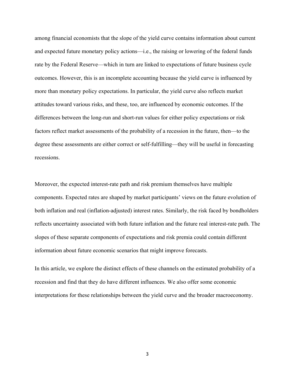among financial economists that the slope of the yield curve contains information about current and expected future monetary policy actions—i.e., the raising or lowering of the federal funds rate by the Federal Reserve—which in turn are linked to expectations of future business cycle outcomes. However, this is an incomplete accounting because the yield curve is influenced by more than monetary policy expectations. In particular, the yield curve also reflects market attitudes toward various risks, and these, too, are influenced by economic outcomes. If the differences between the long-run and short-run values for either policy expectations or risk factors reflect market assessments of the probability of a recession in the future, then—to the degree these assessments are either correct or self-fulfilling—they will be useful in forecasting recessions.

Moreover, the expected interest-rate path and risk premium themselves have multiple components. Expected rates are shaped by market participants' views on the future evolution of both inflation and real (inflation-adjusted) interest rates. Similarly, the risk faced by bondholders reflects uncertainty associated with both future inflation and the future real interest-rate path. The slopes of these separate components of expectations and risk premia could contain different information about future economic scenarios that might improve forecasts.

In this article, we explore the distinct effects of these channels on the estimated probability of a recession and find that they do have different influences. We also offer some economic interpretations for these relationships between the yield curve and the broader macroeconomy.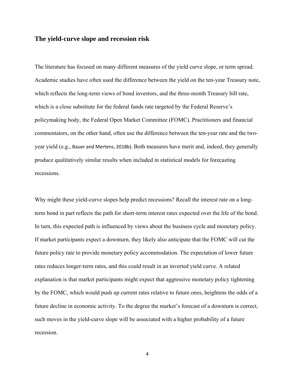# **The yield-curve slope and recession risk**

The literature has focused on many different measures of the yield curve slope, or term spread. Academic studies have often used the difference between the yield on the ten-year Treasury note, which reflects the long-term views of bond investors, and the three-month Treasury bill rate, which is a close substitute for the federal funds rate targeted by the Federal Reserve's policymaking body, the Federal Open Market Committee (FOMC). Practitioners and financial commentators, on the other hand, often use the difference between the ten-year rate and the twoyear yield (e.g., Bauer and Mertens, 2018b). Both measures have merit and, indeed, they generally produce qualitatively similar results when included in statistical models for forecasting recessions.

Why might these yield-curve slopes help predict recessions? Recall the interest rate on a longterm bond in part reflects the path for short-term interest rates expected over the life of the bond. In turn, this expected path is influenced by views about the business cycle and monetary policy. If market participants expect a downturn, they likely also anticipate that the FOMC will cut the future policy rate to provide monetary policy accommodation. The expectation of lower future rates reduces longer-term rates, and this could result in an inverted yield curve. A related explanation is that market participants might expect that aggressive monetary policy tightening by the FOMC, which would push up current rates relative to future ones, heightens the odds of a future decline in economic activity. To the degree the market's forecast of a downturn is correct, such moves in the yield-curve slope will be associated with a higher probability of a future recession.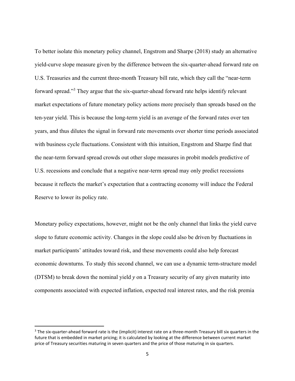To better isolate this monetary policy channel, Engstrom and Sharpe (2018) study an alternative yield-curve slope measure given by the difference between the six-quarter-ahead forward rate on U.S. Treasuries and the current three-month Treasury bill rate, which they call the "near-term forward spread."<sup>3</sup> They argue that the six-quarter-ahead forward rate helps identify relevant market expectations of future monetary policy actions more precisely than spreads based on the ten-year yield. This is because the long-term yield is an average of the forward rates over ten years, and thus dilutes the signal in forward rate movements over shorter time periods associated with business cycle fluctuations. Consistent with this intuition, Engstrom and Sharpe find that the near-term forward spread crowds out other slope measures in probit models predictive of U.S. recessions and conclude that a negative near-term spread may only predict recessions because it reflects the market's expectation that a contracting economy will induce the Federal Reserve to lower its policy rate.

Monetary policy expectations, however, might not be the only channel that links the yield curve slope to future economic activity. Changes in the slope could also be driven by fluctuations in market participants' attitudes toward risk, and these movements could also help forecast economic downturns. To study this second channel, we can use a dynamic term-structure model (DTSM) to break down the nominal yield *y* on a Treasury security of any given maturity into components associated with expected inflation, expected real interest rates, and the risk premia

 $3$  The six-quarter-ahead forward rate is the (implicit) interest rate on a three-month Treasury bill six quarters in the future that is embedded in market pricing; it is calculated by looking at the difference between current market price of Treasury securities maturing in seven quarters and the price of those maturing in six quarters.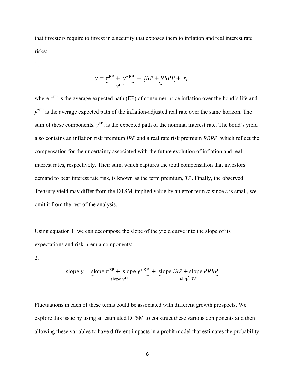that investors require to invest in a security that exposes them to inflation and real interest rate risks:

1.

$$
y = \underbrace{\pi^{EP} + y^*^{EP}}_{y^{EP}} + \underbrace{IRP + RRRP}_{TP} + \varepsilon,
$$

where  $\pi^{EP}$  is the average expected path (EP) of consumer-price inflation over the bond's life and  $y^*$ <sup>EP</sup> is the average expected path of the inflation-adjusted real rate over the same horizon. The sum of these components,  $y^{EP}$ , is the expected path of the nominal interest rate. The bond's yield also contains an inflation risk premium *IRP* and a real rate risk premium *RRRP*, which reflect the compensation for the uncertainty associated with the future evolution of inflation and real interest rates, respectively. Their sum, which captures the total compensation that investors demand to bear interest rate risk, is known as the term premium, *TP*. Finally, the observed Treasury yield may differ from the DTSM-implied value by an error term ε; since ε is small, we omit it from the rest of the analysis.

Using equation 1, we can decompose the slope of the yield curve into the slope of its expectations and risk-premia components:

2.

slope 
$$
y =
$$
 slope  $\pi^{EP} +$  slope  $y^*^{EP}$  + slope *IRP* + slope *RRRP*.  
slope  $y^{EP}$ 

Fluctuations in each of these terms could be associated with different growth prospects. We explore this issue by using an estimated DTSM to construct these various components and then allowing these variables to have different impacts in a probit model that estimates the probability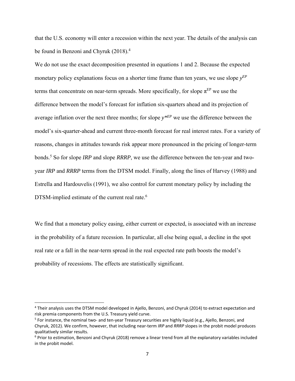that the U.S. economy will enter a recession within the next year. The details of the analysis can be found in Benzoni and Chyruk (2018).<sup>4</sup>

We do not use the exact decomposition presented in equations 1 and 2. Because the expected monetary policy explanations focus on a shorter time frame than ten years, we use slope  $y^{EP}$ terms that concentrate on near-term spreads. More specifically, for slope  $\pi^{EP}$  we use the difference between the model's forecast for inflation six-quarters ahead and its projection of average inflation over the next three months; for slope *y\*EP* we use the difference between the model's six-quarter-ahead and current three-month forecast for real interest rates. For a variety of reasons, changes in attitudes towards risk appear more pronounced in the pricing of longer-term bonds.5 So for slope *IRP* and slope *RRRP*, we use the difference between the ten-year and twoyear *IRP* and *RRRP* terms from the DTSM model. Finally, along the lines of Harvey (1988) and Estrella and Hardouvelis (1991), we also control for current monetary policy by including the DTSM-implied estimate of the current real rate.<sup>6</sup>

We find that a monetary policy easing, either current or expected, is associated with an increase in the probability of a future recession. In particular, all else being equal, a decline in the spot real rate or a fall in the near-term spread in the real expected rate path boosts the model's probability of recessions. The effects are statistically significant.

<sup>4</sup> Their analysis uses the DTSM model developed in Ajello, Benzoni, and Chyruk (2014) to extract expectation and risk premia components from the U.S. Treasury yield curve.

<sup>5</sup> For instance, the nominal two‐ and ten‐year Treasury securities are highly liquid (e.g., Ajello, Benzoni, and Chyruk, 2012). We confirm, however, that including near‐term *IRP* and *RRRP* slopes in the probit model produces qualitatively similar results.

<sup>&</sup>lt;sup>6</sup> Prior to estimation, Benzoni and Chyruk (2018) remove a linear trend from all the explanatory variables included in the probit model.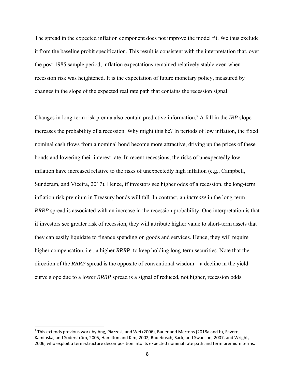The spread in the expected inflation component does not improve the model fit. We thus exclude it from the baseline probit specification. This result is consistent with the interpretation that, over the post-1985 sample period, inflation expectations remained relatively stable even when recession risk was heightened. It is the expectation of future monetary policy, measured by changes in the slope of the expected real rate path that contains the recession signal.

Changes in long-term risk premia also contain predictive information.7 A fall in the *IRP* slope increases the probability of a recession. Why might this be? In periods of low inflation, the fixed nominal cash flows from a nominal bond become more attractive, driving up the prices of these bonds and lowering their interest rate. In recent recessions, the risks of unexpectedly low inflation have increased relative to the risks of unexpectedly high inflation (e.g., Campbell, Sunderam, and Viceira, 2017). Hence, if investors see higher odds of a recession, the long-term inflation risk premium in Treasury bonds will fall. In contrast, an *increase* in the long-term *RRRP* spread is associated with an increase in the recession probability. One interpretation is that if investors see greater risk of recession, they will attribute higher value to short-term assets that they can easily liquidate to finance spending on goods and services. Hence, they will require higher compensation, i.e., a higher *RRRP*, to keep holding long-term securities. Note that the direction of the *RRRP* spread is the opposite of conventional wisdom—a decline in the yield curve slope due to a lower *RRRP* spread is a signal of reduced, not higher, recession odds.

 $^7$  This extends previous work by Ang, Piazzesi, and Wei (2006), Bauer and Mertens (2018a and b), Favero, Kaminska, and Söderström, 2005, Hamilton and Kim, 2002, Rudebusch, Sack, and Swanson, 2007, and Wright, 2006, who exploit a term‐structure decomposition into its expected nominal rate path and term premium terms.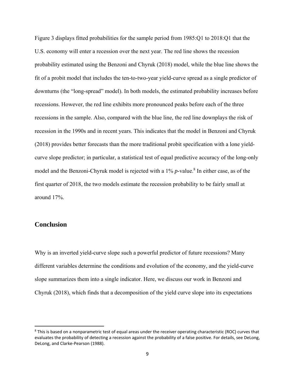Figure 3 displays fitted probabilities for the sample period from 1985:Q1 to 2018:Q1 that the U.S. economy will enter a recession over the next year. The red line shows the recession probability estimated using the Benzoni and Chyruk (2018) model, while the blue line shows the fit of a probit model that includes the ten-to-two-year yield-curve spread as a single predictor of downturns (the "long-spread" model). In both models, the estimated probability increases before recessions. However, the red line exhibits more pronounced peaks before each of the three recessions in the sample. Also, compared with the blue line, the red line downplays the risk of recession in the 1990s and in recent years. This indicates that the model in Benzoni and Chyruk (2018) provides better forecasts than the more traditional probit specification with a lone yieldcurve slope predictor; in particular, a statistical test of equal predictive accuracy of the long-only model and the Benzoni-Chyruk model is rejected with a 1% *p*-value.<sup>8</sup> In either case, as of the first quarter of 2018, the two models estimate the recession probability to be fairly small at around 17%.

# **Conclusion**

Why is an inverted yield-curve slope such a powerful predictor of future recessions? Many different variables determine the conditions and evolution of the economy, and the yield-curve slope summarizes them into a single indicator. Here, we discuss our work in Benzoni and Chyruk (2018), which finds that a decomposition of the yield curve slope into its expectations

<sup>&</sup>lt;sup>8</sup> This is based on a nonparametric test of equal areas under the receiver operating characteristic (ROC) curves that evaluates the probability of detecting a recession against the probability of a false positive. For details, see DeLong, DeLong, and Clarke‐Pearson (1988).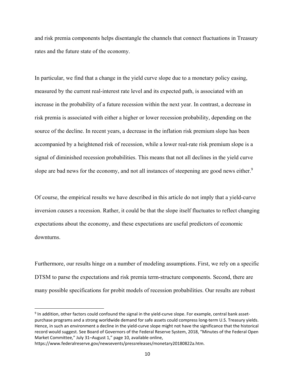and risk premia components helps disentangle the channels that connect fluctuations in Treasury rates and the future state of the economy.

In particular, we find that a change in the yield curve slope due to a monetary policy easing, measured by the current real-interest rate level and its expected path, is associated with an increase in the probability of a future recession within the next year. In contrast, a decrease in risk premia is associated with either a higher or lower recession probability, depending on the source of the decline. In recent years, a decrease in the inflation risk premium slope has been accompanied by a heightened risk of recession, while a lower real-rate risk premium slope is a signal of diminished recession probabilities. This means that not all declines in the yield curve slope are bad news for the economy, and not all instances of steepening are good news either.<sup>9</sup>

Of course, the empirical results we have described in this article do not imply that a yield-curve inversion *causes* a recession. Rather, it could be that the slope itself fluctuates to reflect changing expectations about the economy, and these expectations are useful predictors of economic downturns.

Furthermore, our results hinge on a number of modeling assumptions. First, we rely on a specific DTSM to parse the expectations and risk premia term-structure components. Second, there are many possible specifications for probit models of recession probabilities. Our results are robust

<sup>9</sup> In addition, other factors could confound the signal in the yield-curve slope. For example, central bank assetpurchase programs and a strong worldwide demand for safe assets could compress long‐term U.S. Treasury yields. Hence, in such an environment a decline in the yield‐curve slope might not have the significance that the historical record would suggest. See Board of Governors of the Federal Reserve System, 2018, "Minutes of the Federal Open Market Committee," July 31–August 1," page 10, available online,

https://www.federalreserve.gov/newsevents/pressreleases/monetary20180822a.htm.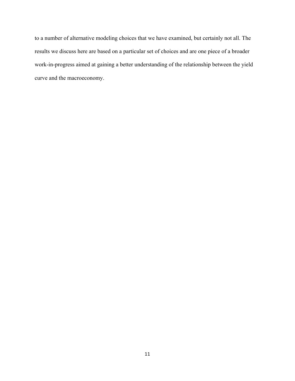to a number of alternative modeling choices that we have examined, but certainly not all. The results we discuss here are based on a particular set of choices and are one piece of a broader work-in-progress aimed at gaining a better understanding of the relationship between the yield curve and the macroeconomy.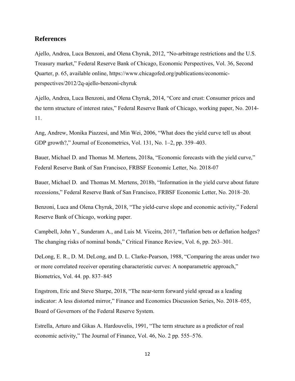## **References**

Ajello, Andrea, Luca Benzoni, and Olena Chyruk, 2012, "No-arbitrage restrictions and the U.S. Treasury market," Federal Reserve Bank of Chicago, Economic Perspectives, Vol. 36, Second Quarter, p. 65, available online, https://www.chicagofed.org/publications/economicperspectives/2012/2q-ajello-benzoni-chyruk

Ajello, Andrea, Luca Benzoni, and Olena Chyruk, 2014, "Core and crust: Consumer prices and the term structure of interest rates," Federal Reserve Bank of Chicago, working paper, No. 2014- 11.

Ang, Andrew, Monika Piazzesi, and Min Wei, 2006, "What does the yield curve tell us about GDP growth?," Journal of Econometrics, Vol. 131, No. 1–2, pp. 359–403.

Bauer, Michael D. and Thomas M. Mertens, 2018a, "Economic forecasts with the yield curve," Federal Reserve Bank of San Francisco, FRBSF Economic Letter, No. 2018-07

Bauer, Michael D. and Thomas M. Mertens, 2018b, "Information in the yield curve about future recessions," Federal Reserve Bank of San Francisco, FRBSF Economic Letter, No. 2018–20.

Benzoni, Luca and Olena Chyruk, 2018, "The yield-curve slope and economic activity," Federal Reserve Bank of Chicago, working paper.

Campbell, John Y., Sunderam A., and Luis M. Viceira, 2017, "Inflation bets or deflation hedges? The changing risks of nominal bonds," Critical Finance Review, Vol. 6, pp. 263–301.

DeLong, E. R., D. M. DeLong, and D. L. Clarke-Pearson, 1988, "Comparing the areas under two or more correlated receiver operating characteristic curves: A nonparametric approach," Biometrics, Vol. 44. pp. 837–845

Engstrom, Eric and Steve Sharpe, 2018, "The near-term forward yield spread as a leading indicator: A less distorted mirror," Finance and Economics Discussion Series, No. 2018–055, Board of Governors of the Federal Reserve System.

Estrella, Arturo and Gikas A. Hardouvelis, 1991, "The term structure as a predictor of real economic activity," The Journal of Finance, Vol. 46, No. 2 pp. 555–576.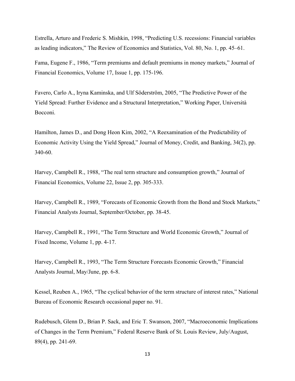Estrella, Arturo and Frederic S. Mishkin, 1998, "Predicting U.S. recessions: Financial variables as leading indicators," The Review of Economics and Statistics, Vol. 80, No. 1, pp. 45–61.

Fama, Eugene F., 1986, "Term premiums and default premiums in money markets," Journal of Financial Economics, Volume 17, Issue 1, pp. 175-196.

Favero, Carlo A., Iryna Kaminska, and Ulf Söderström, 2005, "The Predictive Power of the Yield Spread: Further Evidence and a Structural Interpretation," Working Paper, Università Bocconi.

Hamilton, James D., and Dong Heon Kim, 2002, "A Reexamination of the Predictability of Economic Activity Using the Yield Spread," Journal of Money, Credit, and Banking, 34(2), pp. 340-60.

Harvey, Campbell R., 1988, "The real term structure and consumption growth," Journal of Financial Economics, Volume 22, Issue 2, pp. 305-333.

Harvey, Campbell R., 1989, "Forecasts of Economic Growth from the Bond and Stock Markets," Financial Analysts Journal, September/October, pp. 38-45.

Harvey, Campbell R., 1991, "The Term Structure and World Economic Growth," Journal of Fixed Income, Volume 1, pp. 4-17.

Harvey, Campbell R., 1993, "The Term Structure Forecasts Economic Growth," Financial Analysts Journal, May/June, pp. 6-8.

Kessel, Reuben A., 1965, "The cyclical behavior of the term structure of interest rates," National Bureau of Economic Research occasional paper no. 91.

Rudebusch, Glenn D., Brian P. Sack, and Eric T. Swanson, 2007, "Macroeconomic Implications of Changes in the Term Premium," Federal Reserve Bank of St. Louis Review, July/August, 89(4), pp. 241-69.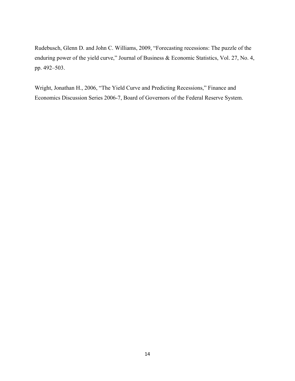Rudebusch, Glenn D. and John C. Williams, 2009, "Forecasting recessions: The puzzle of the enduring power of the yield curve," Journal of Business & Economic Statistics, Vol. 27, No. 4, pp. 492–503.

Wright, Jonathan H., 2006, "The Yield Curve and Predicting Recessions," Finance and Economics Discussion Series 2006-7, Board of Governors of the Federal Reserve System.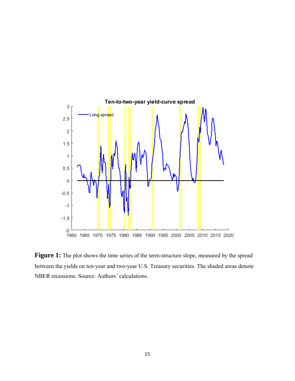

Figure 1: The plot shows the time series of the term-structure slope, measured by the spread between the yields on ten-year and two-year U.S. Treasury securities. The shaded areas denote NBER recessions. Source: Authors' calculations.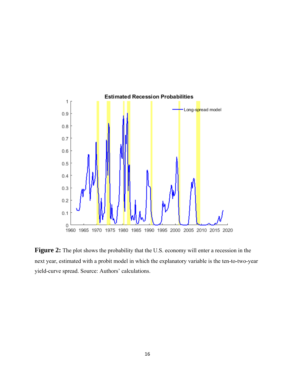

Figure 2: The plot shows the probability that the U.S. economy will enter a recession in the next year, estimated with a probit model in which the explanatory variable is the ten-to-two-year yield-curve spread. Source: Authors' calculations.